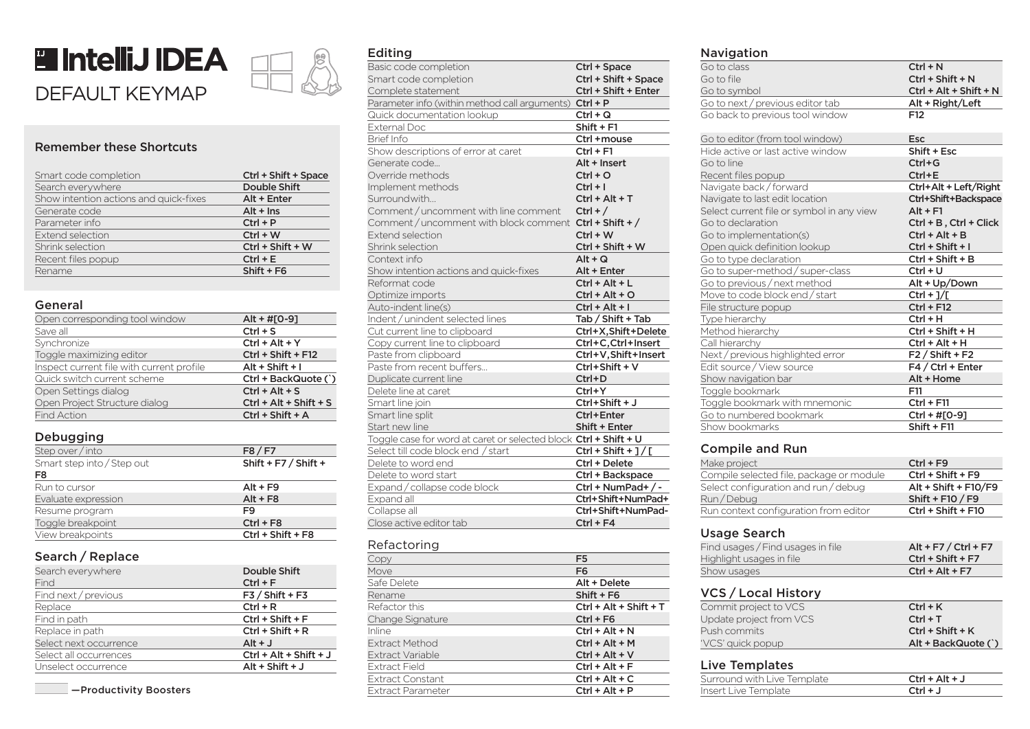



# Remember these Shortcuts

| Smart code completion                  | Ctrl + Shift + Space |
|----------------------------------------|----------------------|
| Search everywhere                      | <b>Double Shift</b>  |
| Show intention actions and quick-fixes | Alt + Enter          |
| Generate code                          | $Alt + Ins$          |
| Parameter info                         | $Ctrl + P$           |
| Extend selection                       | $Ctrl + W$           |
| Shrink selection                       | Ctrl + Shift + W     |
| Recent files popup                     | $Ctrl + E$           |
| Rename                                 | $Shift + F6$         |

#### General

| Open corresponding tool window            | $Alt + #[O-9]$           |
|-------------------------------------------|--------------------------|
| Save all                                  | $Ctrl + S$               |
| Synchronize                               | $Ctrl + Alt + Y$         |
| Toggle maximizing editor                  | Ctrl + Shift + F12       |
| Inspect current file with current profile | $Alt + Shift + I$        |
| Quick switch current scheme               | Ctrl + BackQuote (`)     |
| Open Settings dialog                      | $Ctrl + Alt + S$         |
| Open Project Structure dialog             | $Ctrl + Alt + Shift + S$ |
| <b>Find Action</b>                        | Ctrl + Shift + A         |

### Debugging

| --------                   |                        |
|----------------------------|------------------------|
| Step over / into           | F8/F7                  |
| Smart step into / Step out | Shift + $F7 /$ Shift + |
| F8                         |                        |
| Run to cursor              | $Alt + F9$             |
| Evaluate expression        | $Alt + F8$             |
| Resume program             | F9                     |
| Toggle breakpoint          | $Ctrl + F8$            |
| View breakpoints           | Ctrl + Shift + F8      |
|                            |                        |

### Search / Replace

| Search everywhere      | <b>Double Shift</b>      |
|------------------------|--------------------------|
| Find                   | $Ctrl + F$               |
| Find next / previous   | $F3 /$ Shift + F3        |
| Replace                | $Ctrl + R$               |
| Find in path           | $Ctrl + Shift + F$       |
| Replace in path        | $Ctrl + Shift + R$       |
| Select next occurrence | $Alt + J$                |
| Select all occurrences | $Ctrl + Alt + Shift + J$ |
| Unselect occurrence    | $Alt + Shift + J$        |

### Editing

| . 9                                                              |                        |
|------------------------------------------------------------------|------------------------|
| Basic code completion                                            | Ctrl + Space           |
| Smart code completion                                            | Ctrl + Shift + Space   |
| Complete statement                                               | Ctrl + Shift + Enter   |
| Parameter info (within method call arguments) Ctrl + P           |                        |
| Quick documentation lookup                                       | $Ctrl + Q$             |
| <b>External Doc</b>                                              | Shift + F1             |
| <b>Brief Info</b>                                                | Ctrl +mouse            |
| Show descriptions of error at caret                              | $Ctrl + F1$            |
| Generate code                                                    | Alt + Insert           |
| Override methods                                                 | $Ctrl + O$             |
| Implement methods                                                | $Ctrl + I$             |
| Surroundwith                                                     | Ctrl + Alt + T         |
| Comment / uncomment with line comment                            | $Ctrl + /$             |
| Comment/uncomment with block comment Ctrl + Shift +/             |                        |
| <b>Extend selection</b>                                          | $Ctrl + W$             |
| Shrink selection                                                 | Ctrl + Shift + W       |
| Context info                                                     | $Alt + Q$              |
| Show intention actions and quick-fixes                           | Alt + Enter            |
| Reformat code                                                    | Ctrl + Alt + L         |
| Optimize imports                                                 | $Ctrl + Alt + O$       |
| Auto-indent line(s)                                              | Ctrl + Alt + I         |
| Indent / unindent selected lines                                 | Tab / Shift + Tab      |
| Cut current line to clipboard                                    | Ctrl+X,Shift+Delete    |
| Copy current line to clipboard                                   | Ctrl+C, Ctrl+Insert    |
| Paste from clipboard                                             | Ctrl+V, Shift+Insert   |
| Paste from recent buffers                                        | Ctrl+Shift + V         |
| Duplicate current line                                           | Ctrl+D                 |
| Delete line at caret                                             | $Ctrl+Y$               |
| Smart line join                                                  | Ctrl+Shift + J         |
| Smart line split                                                 | Ctrl+Enter             |
| Start new line                                                   | Shift + Enter          |
| Toggle case for word at caret or selected block Ctrl + Shift + U |                        |
| Select till code block end / start                               | $Ctrl + Shift + ] / [$ |
| Delete to word end                                               | Ctrl + Delete          |
| Delete to word start                                             | Ctrl + Backspace       |
| Expand / collapse code block                                     | Ctrl + NumPad+/-       |
| Expand all                                                       | Ctrl+Shift+NumPad+     |
| Collapse all                                                     | Ctrl+Shift+NumPad-     |
| Close active editor tab                                          | Ctrl + F4              |
|                                                                  |                        |

### Refactoring

| Copy                    | F <sub>5</sub>           |
|-------------------------|--------------------------|
| Move                    | F <sub>6</sub>           |
| Safe Delete             | Alt + Delete             |
| Rename                  | $Shift + F6$             |
| Refactor this           | $Ctrl + Alt + Shift + T$ |
| Change Signature        | $Ctrl + F6$              |
| Inline                  | $Ctrl + Alt + N$         |
| <b>Extract Method</b>   | $Ctrl + Alt + M$         |
| Extract Variable        | $Ctrl + Alt + V$         |
| <b>Extract Field</b>    | $Ctrl + Alt + F$         |
| <b>Extract Constant</b> | $Ctrl + Alt + C$         |
| Extract Parameter       | $Ctrl + Alt + P$         |

#### Navigation

| 11 <b>0719061</b> 011                     |                          |
|-------------------------------------------|--------------------------|
| Go to class                               | $Ctrl + N$               |
| Go to file                                | Ctrl + Shift + N         |
| Go to symbol                              | $Ctrl + Alt + Shift + N$ |
| Go to next / previous editor tab          | Alt + Right/Left         |
| Go back to previous tool window           | F <sub>12</sub>          |
| Go to editor (from tool window)           | <b>Esc</b>               |
| Hide active or last active window         | Shift + Esc              |
| Go to line                                | $Ctrl + G$               |
| Recent files popup                        | $Ctrl + E$               |
| Navigate back/forward                     | Ctrl+Alt + Left/Right    |
| Navigate to last edit location            | Ctrl+Shift+Backspace     |
| Select current file or symbol in any view | $Alt + F1$               |
| Go to declaration                         | Ctrl + B, Ctrl + Click   |
| Go to implementation(s)                   | $Ctrl + Alt + B$         |
| Open quick definition lookup              | Ctrl + Shift + I         |
| Go to type declaration                    | $Ctrl + Shift + B$       |
| Go to super-method / super-class          | $Ctrl + U$               |
| Go to previous / next method              | Alt + Up/Down            |
| Move to code block end / start            | $Ctrl + J/L$             |
| File structure popup                      | $Ctrl + F12$             |
| Type hierarchy                            | $Ctrl + H$               |
| Method hierarchy                          | Ctrl + Shift + H         |
| Call hierarchy                            | Ctrl + Alt + H           |
| Next / previous highlighted error         | $F2/Shift + F2$          |
| Edit source / View source                 | F4 / Ctrl + Enter        |
| Show navigation bar                       | Alt + Home               |
| Toggle bookmark                           | F11                      |
| Toggle bookmark with mnemonic             | $Ctrl + F11$             |
| Go to numbered bookmark                   | Ctrl + #[0-9]            |
| Show bookmarks                            | $Shift + F11$            |
|                                           |                          |

### Compile and Run

| Make project                             | $Ctrl + F9$          |
|------------------------------------------|----------------------|
| Compile selected file, package or module | $Ctrl + Shift + F9$  |
| Select configuration and run / debug     | Alt + Shift + F10/F9 |
| Run/Debug                                | Shift + $F10 / F9$   |
| Run context configuration from editor    | Ctrl + Shift + F10   |

# Usage Search

| Find usages / Find usages in file | $Alt + F7 / CtrI + F7$ |
|-----------------------------------|------------------------|
| Highlight usages in file          | $Ctrl + Shift + F7$    |
| Show usages                       | $Ctrl + Alt + F7$      |

# VCS / Local History

| Commit project to VCS   | $Ctrl + K$          |
|-------------------------|---------------------|
| Update project from VCS | $Ctrl + T$          |
| Push commits l          | $Ctrl + Shift + K$  |
| 'VCS' quick popup       | Alt + BackQuote (`) |

# Live Templates

| _________________           |                  |
|-----------------------------|------------------|
| Surround with Live Template | $Ctrl + Alt + J$ |
| Insert Live Template        | $Ctrl + J$       |
|                             |                  |